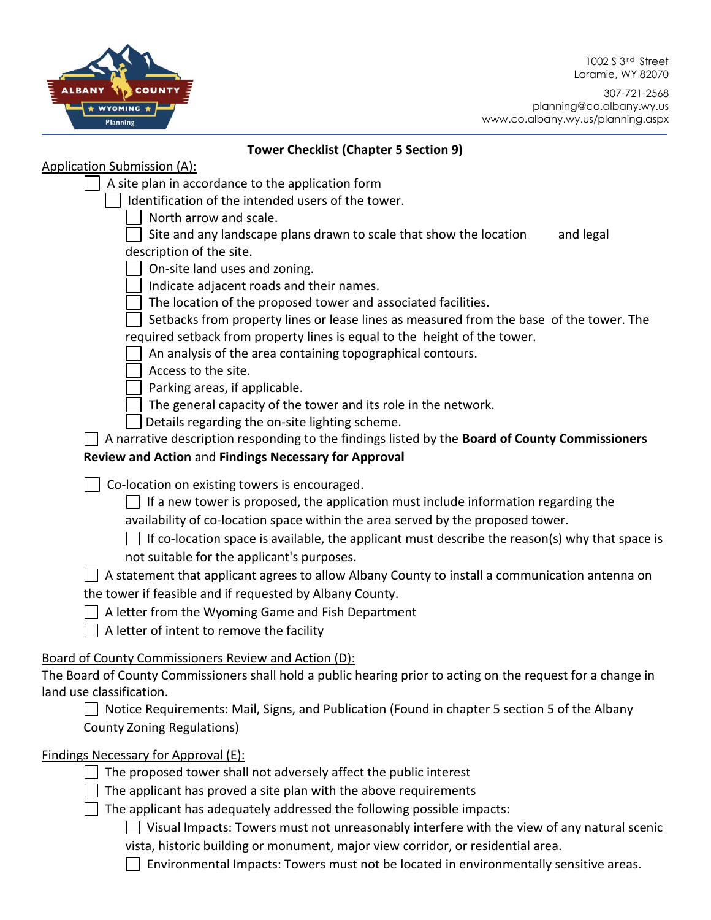1002 S 3<sup>rd</sup> Street Laramie, WY 82070





## **Tower Checklist (Chapter 5 Section 9)**

| <b>Application Submission (A):</b>                                                                               |  |
|------------------------------------------------------------------------------------------------------------------|--|
| A site plan in accordance to the application form                                                                |  |
| Identification of the intended users of the tower.                                                               |  |
| North arrow and scale.                                                                                           |  |
| Site and any landscape plans drawn to scale that show the location<br>and legal                                  |  |
| description of the site.                                                                                         |  |
| On-site land uses and zoning.                                                                                    |  |
| Indicate adjacent roads and their names.                                                                         |  |
| The location of the proposed tower and associated facilities.                                                    |  |
| Setbacks from property lines or lease lines as measured from the base of the tower. The                          |  |
| required setback from property lines is equal to the height of the tower.                                        |  |
| An analysis of the area containing topographical contours.                                                       |  |
| Access to the site.                                                                                              |  |
| Parking areas, if applicable.                                                                                    |  |
| The general capacity of the tower and its role in the network.<br>Details regarding the on-site lighting scheme. |  |
| A narrative description responding to the findings listed by the Board of County Commissioners                   |  |
| Review and Action and Findings Necessary for Approval                                                            |  |
|                                                                                                                  |  |
| Co-location on existing towers is encouraged.                                                                    |  |
| If a new tower is proposed, the application must include information regarding the                               |  |
| availability of co-location space within the area served by the proposed tower.                                  |  |
| If co-location space is available, the applicant must describe the reason(s) why that space is                   |  |
| not suitable for the applicant's purposes.                                                                       |  |
| A statement that applicant agrees to allow Albany County to install a communication antenna on                   |  |
| the tower if feasible and if requested by Albany County.                                                         |  |
| A letter from the Wyoming Game and Fish Department                                                               |  |
| A letter of intent to remove the facility                                                                        |  |
| Board of County Commissioners Review and Action (D):                                                             |  |
| The Board of County Commissioners shall hold a public hearing prior to acting on the request for a change in     |  |
| land use classification.                                                                                         |  |
| Notice Requirements: Mail, Signs, and Publication (Found in chapter 5 section 5 of the Albany                    |  |
| <b>County Zoning Regulations)</b>                                                                                |  |
|                                                                                                                  |  |
| Findings Necessary for Approval (E):                                                                             |  |
| The proposed tower shall not adversely affect the public interest                                                |  |
| The applicant has proved a site plan with the above requirements                                                 |  |
| The applicant has adequately addressed the following possible impacts:                                           |  |
| Visual Impacts: Towers must not unreasonably interfere with the view of any natural scenic                       |  |
| vista, historic building or monument, major view corridor, or residential area.                                  |  |
| Environmental Impacts: Towers must not be located in environmentally sensitive areas.                            |  |